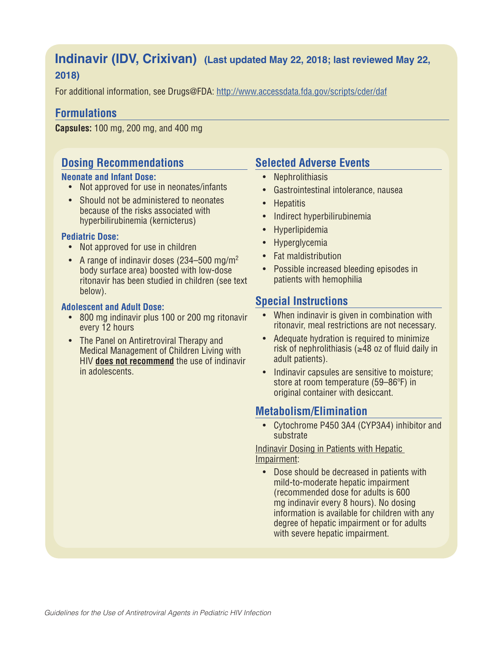# **Indinavir (IDV, Crixivan) (Last updated May 22, 2018; last reviewed May 22, 2018)**

For additional information, see Drugs@FDA: http://www.accessdata.fda.gov/scripts/cder/daf

### **Formulations**

**Capsules:** 100 mg, 200 mg, and 400 mg

## **Dosing Recommendations**

#### **Neonate and Infant Dose:**

- Not approved for use in neonates/infants
- Should not be administered to neonates because of the risks associated with hyperbilirubinemia (kernicterus)

#### **Pediatric Dose:**

- Not approved for use in children
- A range of indinavir doses (234–500 mg/m<sup>2</sup>) body surface area) boosted with low-dose ritonavir has been studied in children (see text below).

#### **Adolescent and Adult Dose:**

- 800 mg indinavir plus 100 or 200 mg ritonavir every 12 hours
- The Panel on Antiretroviral Therapy and Medical Management of Children Living with HIV **does not recommend** the use of indinavir in adolescents.

# **Selected Adverse Events**

- Nephrolithiasis
- Gastrointestinal intolerance, nausea
- Hepatitis
- Indirect hyperbilirubinemia
- Hyperlipidemia
- Hyperglycemia
- Fat maldistribution
- Possible increased bleeding episodes in patients with hemophilia

### **Special Instructions**

- When indinavir is given in combination with ritonavir, meal restrictions are not necessary.
- Adequate hydration is required to minimize risk of nephrolithiasis ( $\geq$ 48 oz of fluid daily in adult patients).
- Indinavir capsules are sensitive to moisture; store at room temperature (59–86ºF) in original container with desiccant.

### **Metabolism/Elimination**

• Cytochrome P450 3A4 (CYP3A4) inhibitor and substrate

#### Indinavir Dosing in Patients with Hepatic Impairment:

• Dose should be decreased in patients with mild-to-moderate hepatic impairment (recommended dose for adults is 600 mg indinavir every 8 hours). No dosing information is available for children with any degree of hepatic impairment or for adults with severe hepatic impairment.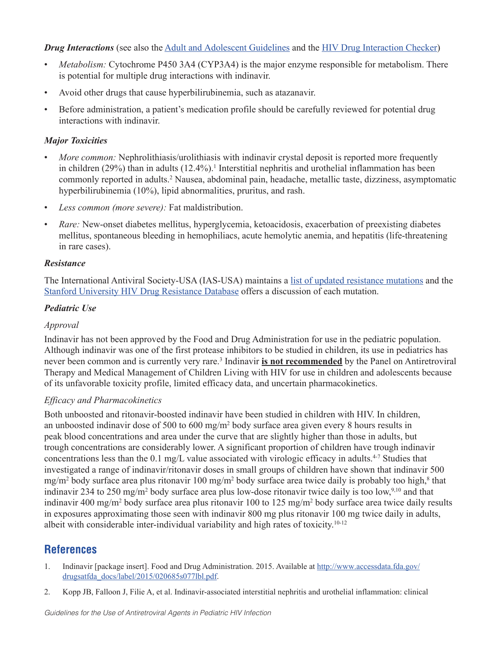#### *Drug Interactions* (see also the Adult and Adolescent Guidelines and the HIV Drug Interaction Checker)

- *Metabolism:* Cytochrome P450 3A4 (CYP3A4) is the major enzyme responsible for metabolism. There is potential for multiple drug interactions with indinavir.
- Avoid other drugs that cause hyperbilirubinemia, such as atazanavir.
- Before administration, a patient's medication profile should be carefully reviewed for potential drug interactions with indinavir.

#### *Major Toxicities*

- *More common:* Nephrolithiasis/urolithiasis with indinavir crystal deposit is reported more frequently in children (29%) than in adults (12.4%).<sup>1</sup> Interstitial nephritis and urothelial inflammation has been commonly reported in adults.<sup>2</sup> Nausea, abdominal pain, headache, metallic taste, dizziness, asymptomatic hyperbilirubinemia (10%), lipid abnormalities, pruritus, and rash.
- *Less common (more severe):* Fat maldistribution.
- *Rare:* New-onset diabetes mellitus, hyperglycemia, ketoacidosis, exacerbation of preexisting diabetes mellitus, spontaneous bleeding in hemophiliacs, acute hemolytic anemia, and hepatitis (life-threatening in rare cases).

#### *Resistance*

The International Antiviral Society-USA (IAS-USA) maintains a list of updated resistance mutations and the Stanford University HIV Drug Resistance Database offers a discussion of each mutation.

#### *Pediatric Use*

#### *Approval*

Indinavir has not been approved by the Food and Drug Administration for use in the pediatric population. Although indinavir was one of the first protease inhibitors to be studied in children, its use in pediatrics has never been common and is currently very rare.<sup>3</sup> Indinavir **is not recommended** by the Panel on Antiretroviral Therapy and Medical Management of Children Living with HIV for use in children and adolescents because of its unfavorable toxicity profile, limited efficacy data, and uncertain pharmacokinetics.

#### *Efficacy and Pharmacokinetics*

Both unboosted and ritonavir-boosted indinavir have been studied in children with HIV. In children, an unboosted indinavir dose of 500 to 600 mg/m<sup>2</sup> body surface area given every 8 hours results in peak blood concentrations and area under the curve that are slightly higher than those in adults, but trough concentrations are considerably lower. A significant proportion of children have trough indinavir concentrations less than the 0.1 mg/L value associated with virologic efficacy in adults.4-7 Studies that investigated a range of indinavir/ritonavir doses in small groups of children have shown that indinavir 500 mg/m<sup>2</sup> body surface area plus ritonavir 100 mg/m<sup>2</sup> body surface area twice daily is probably too high,<sup>8</sup> that indinavir 234 to 250 mg/m<sup>2</sup> body surface area plus low-dose ritonavir twice daily is too low,<sup>9,10</sup> and that indinavir 400 mg/m2 body surface area plus ritonavir 100 to 125 mg/m<sup>2</sup> body surface area twice daily results in exposures approximating those seen with indinavir 800 mg plus ritonavir 100 mg twice daily in adults, albeit with considerable inter-individual variability and high rates of toxicity.10-12

### **References**

- 1. Indinavir [package insert]. Food and Drug Administration. 2015. Available at http://www.accessdata.fda.gov/ drugsatfda\_docs/label/2015/020685s077lbl.pdf.
- 2. Kopp JB, Falloon J, Filie A, et al. Indinavir-associated interstitial nephritis and urothelial inflammation: clinical